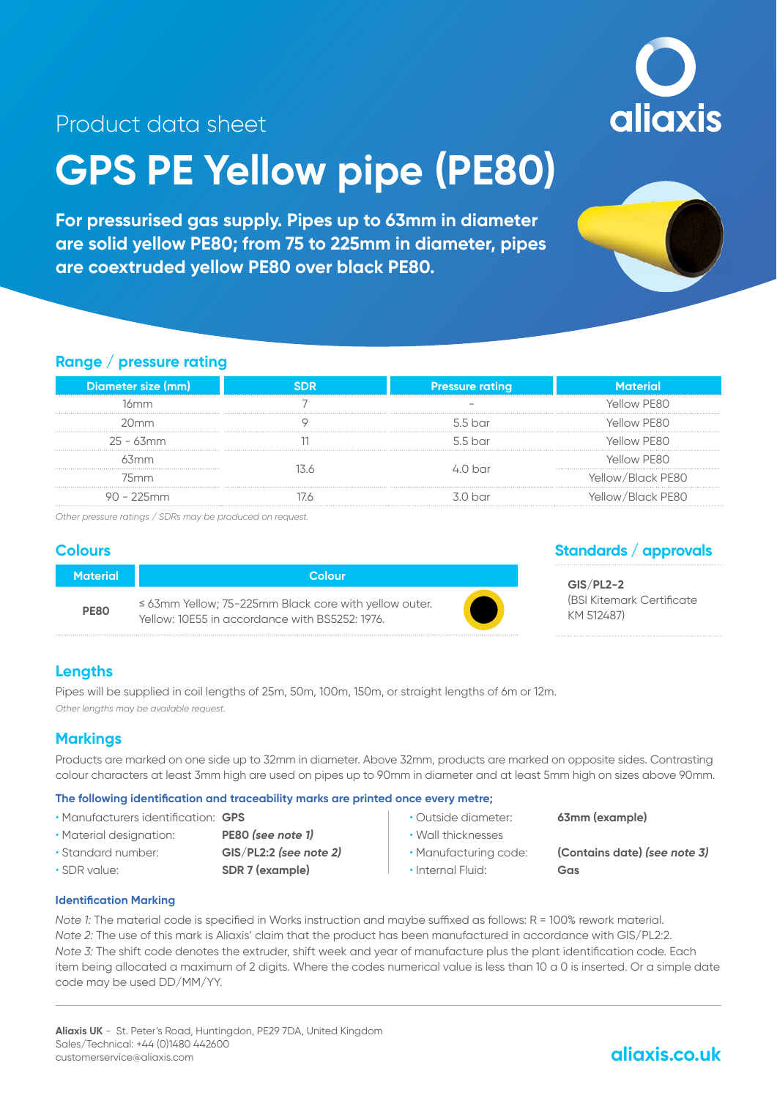aliaxis

### Product data sheet

# **GPS PE Yellow pipe (PE80)**

**For pressurised gas supply. Pipes up to 63mm in diameter are solid yellow PE80; from 75 to 225mm in diameter, pipes are coextruded yellow PE80 over black PE80.**



#### **Range / pressure rating**

| Diameter size (mm) | <b>Pressure rating</b> | aterial           |
|--------------------|------------------------|-------------------|
| 16mm               |                        | Allow PF80        |
| 20mm               | 5.5 har                | <b>GILOW PERO</b> |
| $25 - 63$ mm       | 55 <sub>har</sub>      | Allow PF80        |
| 3mm                |                        | Allow PF80        |
| 75mm               |                        | rellow/Black PF80 |
| $90 - 225$ mm      | 3 N har                | /Allow/Rlack PF80 |

*Other pressure ratings / SDRs may be produced on request.*

#### **Colours**

| <b>Material</b> | Colour                                                                                                       |  |
|-----------------|--------------------------------------------------------------------------------------------------------------|--|
| <b>PE80</b>     | $\leq$ 63mm Yellow; 75-225mm Black core with yellow outer.<br>Yellow: 10F55 in accordance with BS5252: 1976. |  |

#### **Standards / approvals**

**GIS/PL2-2** (BSI Kitemark Certificate KM 512487)

#### **Lengths**

Pipes will be supplied in coil lengths of 25m, 50m, 100m, 150m, or straight lengths of 6m or 12m. *Other lengths may be available request.*

#### **Markings**

Products are marked on one side up to 32mm in diameter. Above 32mm, products are marked on opposite sides. Contrasting colour characters at least 3mm high are used on pipes up to 90mm in diameter and at least 5mm high on sizes above 90mm.

#### **The following identification and traceability marks are printed once every metre;**

- Manufacturers identification: **GPS**
- Material designation: **PE80** *(see note 1)*
- 
- 
- 
- Standard number: **GIS/PL2:2** *(see note 2)*
- SDR value: **SDR 7 (example)**
- 
- Wall thicknesses
- 
- 
- Internal Fluid: **Gas**

• Outside diameter: **63mm (example)**

• Manufacturing code: **(Contains date)** *(see note 3)*

#### **Identification Marking**

*Note 1:* The material code is specified in Works instruction and maybe suffixed as follows: R = 100% rework material. *Note 2:* The use of this mark is Aliaxis' claim that the product has been manufactured in accordance with GIS/PL2:2. *Note 3:* The shift code denotes the extruder, shift week and year of manufacture plus the plant identification code. Each item being allocated a maximum of 2 digits. Where the codes numerical value is less than 10 a 0 is inserted. Or a simple date code may be used DD/MM/YY.